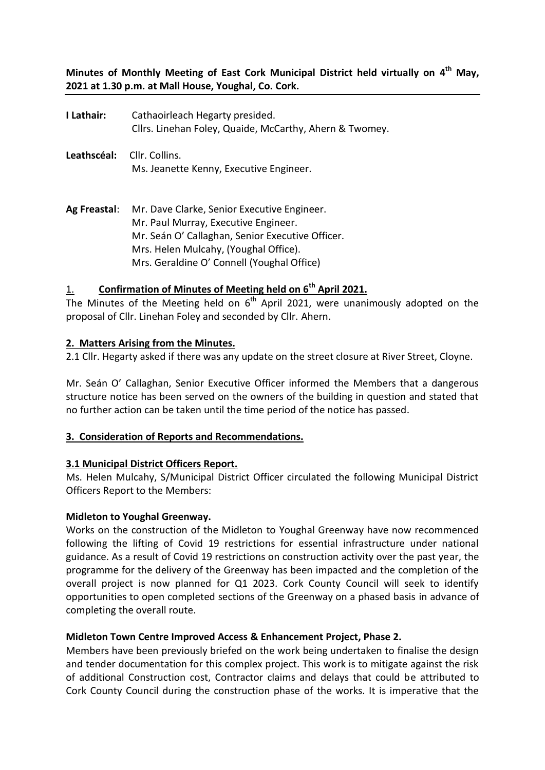**Minutes of Monthly Meeting of East Cork Municipal District held virtually on 4 th May, 2021 at 1.30 p.m. at Mall House, Youghal, Co. Cork.**

- **I Lathair:** Cathaoirleach Hegarty presided. Cllrs. Linehan Foley, Quaide, McCarthy, Ahern & Twomey.
- **Leathscéal:** Cllr. Collins. Ms. Jeanette Kenny, Executive Engineer.
- **Ag Freastal**: Mr. Dave Clarke, Senior Executive Engineer. Mr. Paul Murray, Executive Engineer. Mr. Seán O' Callaghan, Senior Executive Officer. Mrs. Helen Mulcahy, (Youghal Office). Mrs. Geraldine O' Connell (Youghal Office)

## 1. **Confirmation of Minutes of Meeting held on 6th April 2021.**

The Minutes of the Meeting held on  $6<sup>th</sup>$  April 2021, were unanimously adopted on the proposal of Cllr. Linehan Foley and seconded by Cllr. Ahern.

## **2. Matters Arising from the Minutes.**

2.1 Cllr. Hegarty asked if there was any update on the street closure at River Street, Cloyne.

Mr. Seán O' Callaghan, Senior Executive Officer informed the Members that a dangerous structure notice has been served on the owners of the building in question and stated that no further action can be taken until the time period of the notice has passed.

#### **3. Consideration of Reports and Recommendations.**

#### **3.1 Municipal District Officers Report.**

Ms. Helen Mulcahy, S/Municipal District Officer circulated the following Municipal District Officers Report to the Members:

#### **Midleton to Youghal Greenway.**

Works on the construction of the Midleton to Youghal Greenway have now recommenced following the lifting of Covid 19 restrictions for essential infrastructure under national guidance. As a result of Covid 19 restrictions on construction activity over the past year, the programme for the delivery of the Greenway has been impacted and the completion of the overall project is now planned for Q1 2023. Cork County Council will seek to identify opportunities to open completed sections of the Greenway on a phased basis in advance of completing the overall route.

#### **Midleton Town Centre Improved Access & Enhancement Project, Phase 2.**

Members have been previously briefed on the work being undertaken to finalise the design and tender documentation for this complex project. This work is to mitigate against the risk of additional Construction cost, Contractor claims and delays that could be attributed to Cork County Council during the construction phase of the works. It is imperative that the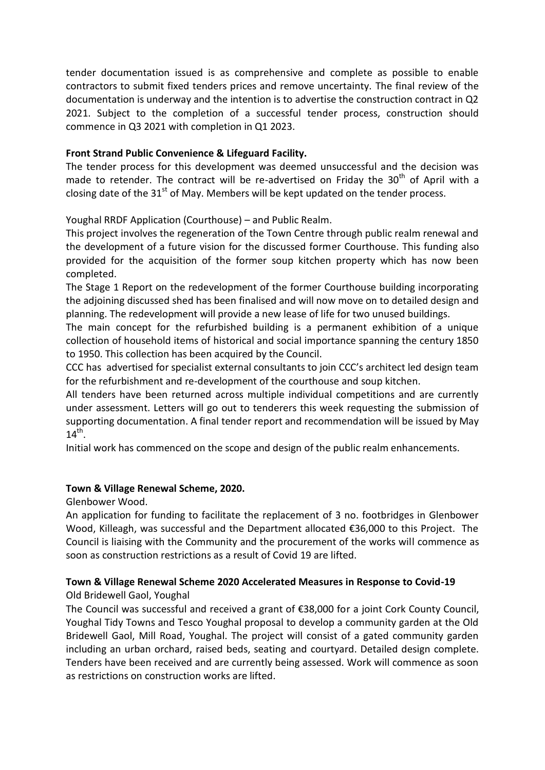tender documentation issued is as comprehensive and complete as possible to enable contractors to submit fixed tenders prices and remove uncertainty. The final review of the documentation is underway and the intention is to advertise the construction contract in Q2 2021. Subject to the completion of a successful tender process, construction should commence in Q3 2021 with completion in Q1 2023.

## **Front Strand Public Convenience & Lifeguard Facility.**

The tender process for this development was deemed unsuccessful and the decision was made to retender. The contract will be re-advertised on Friday the  $30<sup>th</sup>$  of April with a closing date of the  $31<sup>st</sup>$  of May. Members will be kept updated on the tender process.

Youghal RRDF Application (Courthouse) – and Public Realm.

This project involves the regeneration of the Town Centre through public realm renewal and the development of a future vision for the discussed former Courthouse. This funding also provided for the acquisition of the former soup kitchen property which has now been completed.

The Stage 1 Report on the redevelopment of the former Courthouse building incorporating the adjoining discussed shed has been finalised and will now move on to detailed design and planning. The redevelopment will provide a new lease of life for two unused buildings.

The main concept for the refurbished building is a permanent exhibition of a unique collection of household items of historical and social importance spanning the century 1850 to 1950. This collection has been acquired by the Council.

CCC has advertised for specialist external consultants to join CCC's architect led design team for the refurbishment and re-development of the courthouse and soup kitchen.

All tenders have been returned across multiple individual competitions and are currently under assessment. Letters will go out to tenderers this week requesting the submission of supporting documentation. A final tender report and recommendation will be issued by May  $14^{th}$ .

Initial work has commenced on the scope and design of the public realm enhancements.

## **Town & Village Renewal Scheme, 2020.**

Glenbower Wood.

An application for funding to facilitate the replacement of 3 no. footbridges in Glenbower Wood, Killeagh, was successful and the Department allocated €36,000 to this Project. The Council is liaising with the Community and the procurement of the works will commence as soon as construction restrictions as a result of Covid 19 are lifted.

## **Town & Village Renewal Scheme 2020 Accelerated Measures in Response to Covid-19**

Old Bridewell Gaol, Youghal

The Council was successful and received a grant of €38,000 for a joint Cork County Council, Youghal Tidy Towns and Tesco Youghal proposal to develop a community garden at the Old Bridewell Gaol, Mill Road, Youghal. The project will consist of a gated community garden including an urban orchard, raised beds, seating and courtyard. Detailed design complete. Tenders have been received and are currently being assessed. Work will commence as soon as restrictions on construction works are lifted.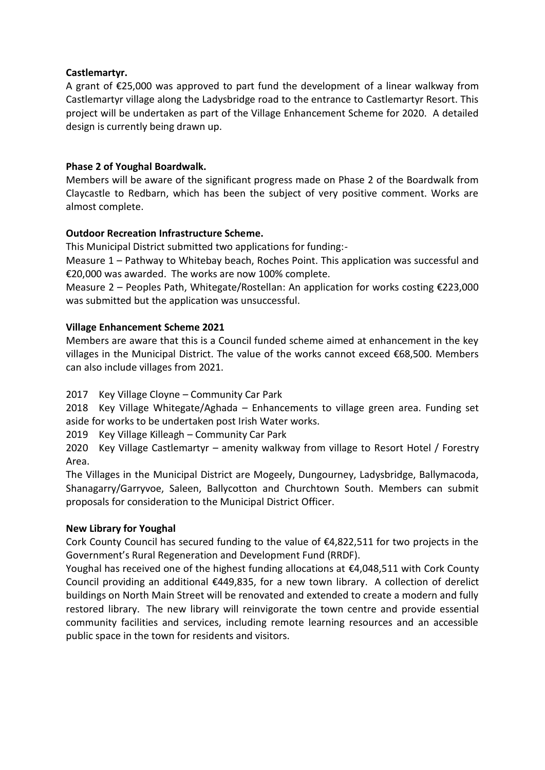## **Castlemartyr.**

A grant of €25,000 was approved to part fund the development of a linear walkway from Castlemartyr village along the Ladysbridge road to the entrance to Castlemartyr Resort. This project will be undertaken as part of the Village Enhancement Scheme for 2020. A detailed design is currently being drawn up.

## **Phase 2 of Youghal Boardwalk.**

Members will be aware of the significant progress made on Phase 2 of the Boardwalk from Claycastle to Redbarn, which has been the subject of very positive comment. Works are almost complete.

## **Outdoor Recreation Infrastructure Scheme.**

This Municipal District submitted two applications for funding:-

Measure 1 – Pathway to Whitebay beach, Roches Point. This application was successful and €20,000 was awarded. The works are now 100% complete.

Measure 2 – Peoples Path, Whitegate/Rostellan: An application for works costing €223,000 was submitted but the application was unsuccessful.

## **Village Enhancement Scheme 2021**

Members are aware that this is a Council funded scheme aimed at enhancement in the key villages in the Municipal District. The value of the works cannot exceed €68,500. Members can also include villages from 2021.

2017 Key Village Cloyne – Community Car Park

2018 Key Village Whitegate/Aghada – Enhancements to village green area. Funding set aside for works to be undertaken post Irish Water works.

2019 Key Village Killeagh – Community Car Park

2020 Key Village Castlemartyr – amenity walkway from village to Resort Hotel / Forestry Area.

The Villages in the Municipal District are Mogeely, Dungourney, Ladysbridge, Ballymacoda, Shanagarry/Garryvoe, Saleen, Ballycotton and Churchtown South. Members can submit proposals for consideration to the Municipal District Officer.

## **New Library for Youghal**

Cork County Council has secured funding to the value of  $E4,822,511$  for two projects in the Government's Rural Regeneration and Development Fund (RRDF).

Youghal has received one of the highest funding allocations at €4,048,511 with Cork County Council providing an additional  $\epsilon$ 449,835, for a new town library. A collection of derelict buildings on North Main Street will be renovated and extended to create a modern and fully restored library. The new library will reinvigorate the town centre and provide essential community facilities and services, including remote learning resources and an accessible public space in the town for residents and visitors.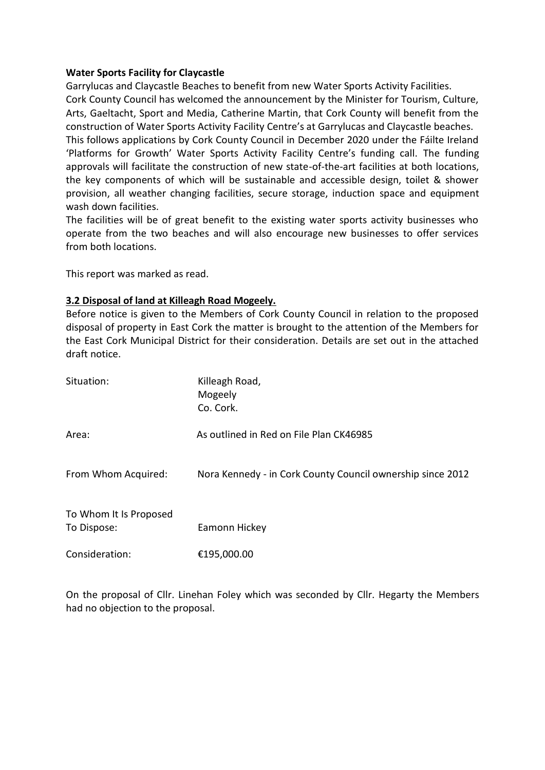#### **Water Sports Facility for Claycastle**

Garrylucas and Claycastle Beaches to benefit from new Water Sports Activity Facilities. Cork County Council has welcomed the announcement by the Minister for Tourism, Culture, Arts, Gaeltacht, Sport and Media, Catherine Martin, that Cork County will benefit from the construction of Water Sports Activity Facility Centre's at Garrylucas and Claycastle beaches. This follows applications by Cork County Council in December 2020 under the Fáilte Ireland 'Platforms for Growth' Water Sports Activity Facility Centre's funding call. The funding approvals will facilitate the construction of new state-of-the-art facilities at both locations, the key components of which will be sustainable and accessible design, toilet & shower provision, all weather changing facilities, secure storage, induction space and equipment wash down facilities.

The facilities will be of great benefit to the existing water sports activity businesses who operate from the two beaches and will also encourage new businesses to offer services from both locations.

This report was marked as read.

## **3.2 Disposal of land at Killeagh Road Mogeely.**

Before notice is given to the Members of Cork County Council in relation to the proposed disposal of property in East Cork the matter is brought to the attention of the Members for the East Cork Municipal District for their consideration. Details are set out in the attached draft notice.

| Situation:                            | Killeagh Road,<br>Mogeely<br>Co. Cork.                     |
|---------------------------------------|------------------------------------------------------------|
| Area:                                 | As outlined in Red on File Plan CK46985                    |
| From Whom Acquired:                   | Nora Kennedy - in Cork County Council ownership since 2012 |
| To Whom It Is Proposed<br>To Dispose: | Eamonn Hickey                                              |
| Consideration:                        | €195,000.00                                                |

On the proposal of Cllr. Linehan Foley which was seconded by Cllr. Hegarty the Members had no objection to the proposal.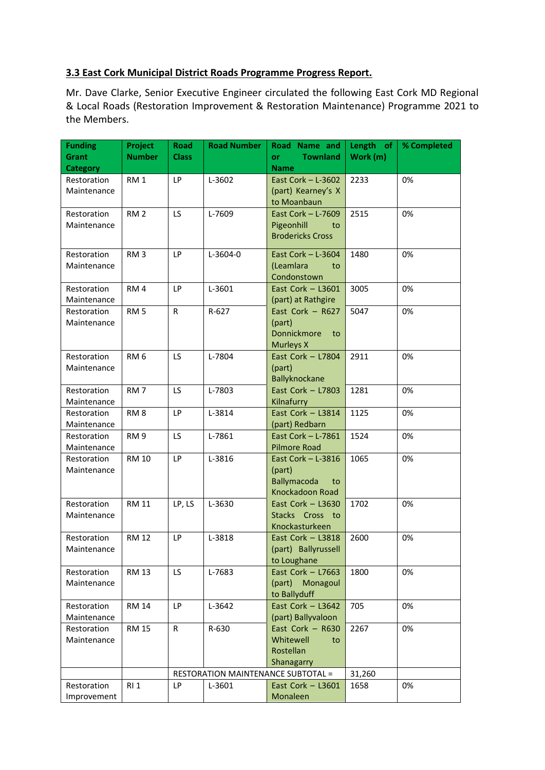## **3.3 East Cork Municipal District Roads Programme Progress Report.**

Mr. Dave Clarke, Senior Executive Engineer circulated the following East Cork MD Regional & Local Roads (Restoration Improvement & Restoration Maintenance) Programme 2021 to the Members.

| Funding<br>Grant           | Project<br><b>Number</b> | Road<br><b>Class</b> | <b>Road Number</b> | Road Name and<br><b>Townland</b><br>or      | Length of<br>Work (m) | % Completed |
|----------------------------|--------------------------|----------------------|--------------------|---------------------------------------------|-----------------------|-------------|
| <b>Category</b>            |                          |                      |                    | <b>Name</b>                                 |                       |             |
| Restoration                | RM <sub>1</sub>          | <b>LP</b>            | L-3602             | East Cork $-$ L-3602                        | 2233                  | 0%          |
| Maintenance                |                          |                      |                    | (part) Kearney's X                          |                       |             |
|                            |                          |                      |                    | to Moanbaun                                 |                       |             |
| Restoration                | RM <sub>2</sub>          | LS.                  | L-7609             | East Cork $-$ L-7609                        | 2515                  | 0%          |
| Maintenance                |                          |                      |                    | Pigeonhill<br>to                            |                       |             |
|                            |                          |                      |                    | <b>Brodericks Cross</b>                     |                       |             |
| Restoration                | RM <sub>3</sub>          | LP                   | L-3604-0           | East Cork $-$ L-3604                        | 1480                  | 0%          |
| Maintenance                |                          |                      |                    | (Leamlara<br>to                             |                       |             |
|                            |                          |                      |                    | Condonstown                                 |                       |             |
| Restoration                | RM <sub>4</sub>          | LP                   | L-3601             | East Cork $-$ L3601                         | 3005                  | 0%          |
| Maintenance                |                          |                      |                    | (part) at Rathgire                          |                       |             |
| Restoration                | RM <sub>5</sub>          | R.                   | $R-627$            | East Cork $-$ R627                          | 5047                  | 0%          |
| Maintenance                |                          |                      |                    | (part)                                      |                       |             |
|                            |                          |                      |                    | Donnickmore<br>to                           |                       |             |
|                            |                          |                      |                    | Murleys X                                   |                       |             |
| Restoration                | RM <sub>6</sub>          | LS.                  | L-7804             | East Cork - L7804                           | 2911                  | 0%          |
| Maintenance                |                          |                      |                    | (part)<br>Ballyknockane                     |                       |             |
| Restoration                | RM <sub>7</sub>          | LS.                  | L-7803             | East Cork $-$ L7803                         | 1281                  | 0%          |
| Maintenance                |                          |                      |                    | Kilnafurry                                  |                       |             |
| Restoration                | RM <sub>8</sub>          | LP                   | L-3814             | East Cork - L3814                           | 1125                  | 0%          |
| Maintenance                |                          |                      |                    | (part) Redbarn                              |                       |             |
| Restoration                | RM <sub>9</sub>          | LS.                  | L-7861             | East Cork - L-7861                          | 1524                  | 0%          |
| Maintenance                |                          |                      |                    | <b>Pilmore Road</b>                         |                       |             |
| Restoration                | <b>RM 10</b>             | LP                   | L-3816             | East Cork $-$ L-3816                        | 1065                  | 0%          |
| Maintenance                |                          |                      |                    | (part)                                      |                       |             |
|                            |                          |                      |                    | <b>Ballymacoda</b><br>to<br>Knockadoon Road |                       |             |
| Restoration                | <b>RM 11</b>             | LP, LS               | L-3630             | East Cork $-$ L3630                         | 1702                  | 0%          |
| Maintenance                |                          |                      |                    | Stacks Cross to                             |                       |             |
|                            |                          |                      |                    | Knockasturkeen                              |                       |             |
| Restoration                | <b>RM 12</b>             | <b>LP</b>            | L-3818             | East Cork $-$ L3818                         | 2600                  | 0%          |
| Maintenance                |                          |                      |                    | (part) Ballyrussell                         |                       |             |
|                            |                          |                      |                    | to Loughane                                 |                       |             |
| Restoration                | <b>RM 13</b>             | LS.                  | L-7683             | East Cork $-$ L7663                         | 1800                  | 0%          |
| Maintenance                |                          |                      |                    | (part) Monagoul                             |                       |             |
|                            |                          |                      |                    | to Ballyduff                                |                       |             |
| Restoration                | <b>RM 14</b>             | <b>LP</b>            | L-3642             | East Cork - L3642<br>(part) Ballyvaloon     | 705                   | 0%          |
| Maintenance<br>Restoration | <b>RM 15</b>             | R                    | R-630              | East Cork $-$ R630                          | 2267                  | 0%          |
| Maintenance                |                          |                      |                    | Whitewell<br>to                             |                       |             |
|                            |                          |                      |                    | Rostellan                                   |                       |             |
|                            |                          |                      |                    | Shanagarry                                  |                       |             |
|                            |                          |                      |                    | <b>RESTORATION MAINTENANCE SUBTOTAL =</b>   | 31,260                |             |
| Restoration                | RI <sub>1</sub>          | LP                   | L-3601             | East Cork $-$ L3601                         | 1658                  | 0%          |
| Improvement                |                          |                      |                    | Monaleen                                    |                       |             |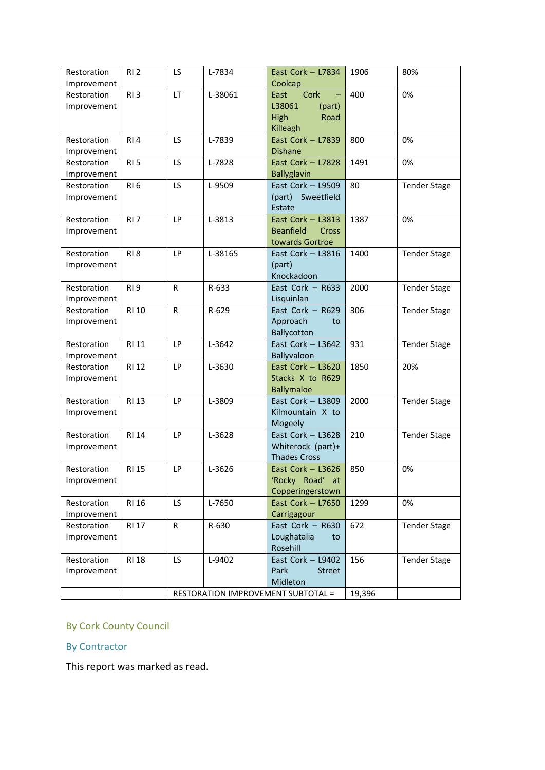| Restoration | RI <sub>2</sub> | <b>LS</b>    | L-7834  | East Cork $-$ L7834                       | 1906   | 80%                 |
|-------------|-----------------|--------------|---------|-------------------------------------------|--------|---------------------|
| Improvement |                 |              |         | Coolcap                                   |        |                     |
| Restoration | RI <sub>3</sub> | LT           | L-38061 | East<br>Cork                              | 400    | 0%                  |
| Improvement |                 |              |         | L38061<br>(part)                          |        |                     |
|             |                 |              |         | High<br>Road                              |        |                     |
|             |                 |              |         | Killeagh                                  |        |                     |
| Restoration | RI4             | LS           | L-7839  | East Cork - L7839                         | 800    | 0%                  |
| Improvement |                 |              |         | <b>Dishane</b>                            |        |                     |
| Restoration | RI <sub>5</sub> | LS           | L-7828  | East Cork - L7828                         | 1491   | 0%                  |
| Improvement |                 |              |         | <b>Ballyglavin</b>                        |        |                     |
| Restoration | RI <sub>6</sub> | LS           | L-9509  | East Cork - L9509                         | 80     | <b>Tender Stage</b> |
| Improvement |                 |              |         | (part) Sweetfield                         |        |                     |
|             |                 |              |         | Estate                                    |        |                     |
| Restoration | RI <sub>7</sub> | LP           | L-3813  | East Cork $-$ L3813                       | 1387   | 0%                  |
| Improvement |                 |              |         | <b>Beanfield</b><br>Cross                 |        |                     |
|             |                 |              |         | towards Gortroe                           |        |                     |
| Restoration | <b>RI8</b>      | <b>LP</b>    | L-38165 | East Cork $-$ L3816                       | 1400   | <b>Tender Stage</b> |
| Improvement |                 |              |         | (part)                                    |        |                     |
|             |                 |              |         | Knockadoon                                |        |                     |
| Restoration | <b>RI9</b>      | R            | R-633   | East Cork $-$ R633                        | 2000   | <b>Tender Stage</b> |
| Improvement |                 |              |         | Lisquinlan                                |        |                     |
| Restoration | <b>RI 10</b>    | R            | R-629   | East Cork $-$ R629                        | 306    | <b>Tender Stage</b> |
| Improvement |                 |              |         | Approach<br>to                            |        |                     |
|             |                 |              |         | Ballycotton                               |        |                     |
| Restoration | <b>RI 11</b>    | LP           | L-3642  | East Cork $-$ L3642                       | 931    | <b>Tender Stage</b> |
| Improvement |                 |              |         | Ballyvaloon                               |        |                     |
| Restoration | <b>RI 12</b>    | LP           | L-3630  | East Cork $-$ L3620                       | 1850   | 20%                 |
| Improvement |                 |              |         | Stacks X to R629                          |        |                     |
|             |                 |              |         | <b>Ballymaloe</b>                         |        |                     |
| Restoration | <b>RI 13</b>    | <b>LP</b>    | L-3809  | East Cork $-$ L3809                       | 2000   | <b>Tender Stage</b> |
| Improvement |                 |              |         | Kilmountain X to<br>Mogeely               |        |                     |
| Restoration | <b>RI 14</b>    | LP           | L-3628  | East Cork $-$ L3628                       | 210    | <b>Tender Stage</b> |
| Improvement |                 |              |         | Whiterock (part)+                         |        |                     |
|             |                 |              |         | <b>Thades Cross</b>                       |        |                     |
| Restoration | <b>RI 15</b>    | LP           | L-3626  | East Cork $-$ L3626                       | 850    | 0%                  |
| Improvement |                 |              |         | 'Rocky Road' at                           |        |                     |
|             |                 |              |         | Copperingerstown                          |        |                     |
| Restoration | <b>RI 16</b>    | LS.          | L-7650  | East Cork $-$ L7650                       | 1299   | 0%                  |
| Improvement |                 |              |         | Carrigagour                               |        |                     |
| Restoration | <b>RI 17</b>    | $\mathsf{R}$ | R-630   | East Cork - R630                          | 672    | <b>Tender Stage</b> |
| Improvement |                 |              |         | Loughatalia<br>to                         |        |                     |
|             |                 |              |         | Rosehill                                  |        |                     |
| Restoration | <b>RI 18</b>    | LS.          | L-9402  | East Cork - L9402                         | 156    | <b>Tender Stage</b> |
| Improvement |                 |              |         | Park<br><b>Street</b>                     |        |                     |
|             |                 |              |         | Midleton                                  |        |                     |
|             |                 |              |         | <b>RESTORATION IMPROVEMENT SUBTOTAL =</b> | 19,396 |                     |
|             |                 |              |         |                                           |        |                     |

# By Cork County Council

## By Contractor

This report was marked as read.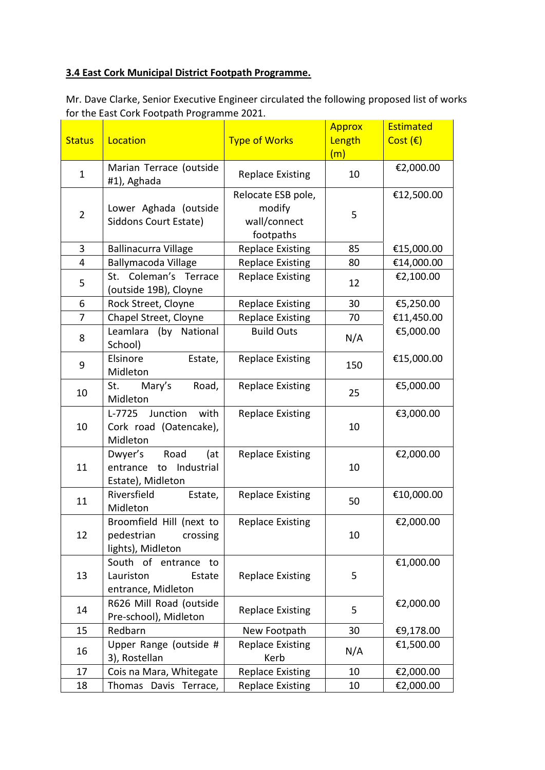## **3.4 East Cork Municipal District Footpath Programme.**

Mr. Dave Clarke, Senior Executive Engineer circulated the following proposed list of works for the East Cork Footpath Programme 2021.

|                |                                                  |                         | <b>Approx</b> | <b>Estimated</b> |
|----------------|--------------------------------------------------|-------------------------|---------------|------------------|
| <b>Status</b>  | Location                                         | <b>Type of Works</b>    | Length<br>(m) | Cost $(E)$       |
|                | Marian Terrace (outside                          |                         |               | €2,000.00        |
| $\mathbf{1}$   | #1), Aghada                                      | <b>Replace Existing</b> | 10            |                  |
|                |                                                  | Relocate ESB pole,      |               | €12,500.00       |
| $\overline{2}$ | Lower Aghada (outside                            | modify                  | 5             |                  |
|                | Siddons Court Estate)                            | wall/connect            |               |                  |
|                |                                                  | footpaths               |               |                  |
| 3              | <b>Ballinacurra Village</b>                      | <b>Replace Existing</b> | 85            | €15,000.00       |
| 4              | Ballymacoda Village                              | <b>Replace Existing</b> | 80            | €14,000.00       |
| 5              | St. Coleman's Terrace<br>(outside 19B), Cloyne   | <b>Replace Existing</b> | 12            | €2,100.00        |
| 6              | Rock Street, Cloyne                              | <b>Replace Existing</b> | 30            | €5,250.00        |
| 7              | Chapel Street, Cloyne                            | <b>Replace Existing</b> | 70            | €11,450.00       |
| 8              | Leamlara (by National<br>School)                 | <b>Build Outs</b>       | N/A           | €5,000.00        |
| 9              | Elsinore<br>Estate,<br>Midleton                  | <b>Replace Existing</b> | 150           | €15,000.00       |
| 10             | St. Mary's<br>Road,<br>Midleton                  | <b>Replace Existing</b> | 25            | €5,000.00        |
|                | Junction<br>with<br>$L-7725$                     | <b>Replace Existing</b> |               | €3,000.00        |
| 10             | Cork road (Oatencake),                           |                         | 10            |                  |
|                | Midleton                                         |                         |               |                  |
|                | Road<br>Dwyer's<br>(at                           | <b>Replace Existing</b> |               | €2,000.00        |
| 11             | Industrial<br>entrance to<br>Estate), Midleton   |                         | 10            |                  |
|                | Riversfield<br>Estate,                           | <b>Replace Existing</b> |               | €10,000.00       |
| 11             | Midleton                                         |                         | 50            |                  |
|                | Broomfield Hill (next to                         | <b>Replace Existing</b> |               | €2,000.00        |
| 12             | pedestrian<br>crossing                           |                         | 10            |                  |
|                | lights), Midleton                                |                         |               |                  |
|                | South of entrance to                             |                         |               | €1,000.00        |
| 13<br>14       | Lauriston<br>Estate                              | <b>Replace Existing</b> | 5             |                  |
|                | entrance, Midleton                               |                         |               |                  |
|                | R626 Mill Road (outside<br>Pre-school), Midleton | <b>Replace Existing</b> | 5             | €2,000.00        |
| 15             | Redbarn                                          | New Footpath            | 30            | €9,178.00        |
|                | Upper Range (outside #                           | <b>Replace Existing</b> |               | €1,500.00        |
| 16             | 3), Rostellan                                    | Kerb                    | N/A           |                  |
| 17             | Cois na Mara, Whitegate                          | <b>Replace Existing</b> | 10            | €2,000.00        |
| 18             | Thomas Davis Terrace,                            | <b>Replace Existing</b> | 10            | €2,000.00        |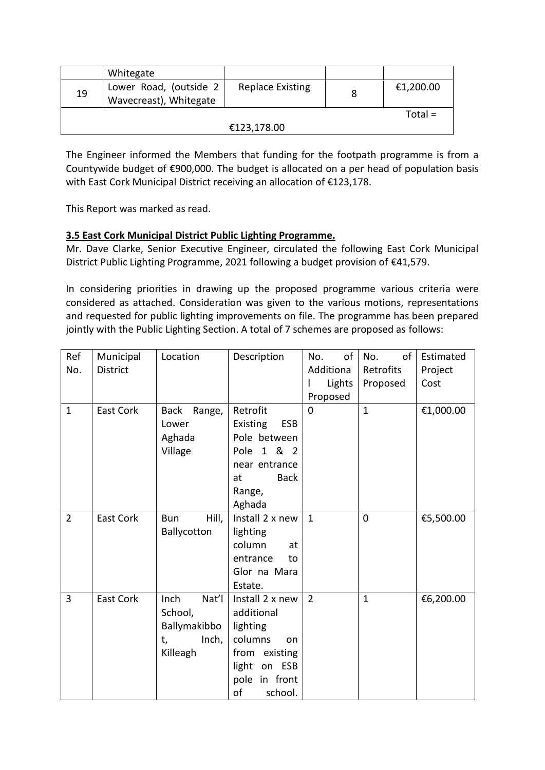|    | Whitegate                                        |                         |   |           |
|----|--------------------------------------------------|-------------------------|---|-----------|
| 19 | Lower Road, (outside 2<br>Wavecreast), Whitegate | <b>Replace Existing</b> | 8 | €1,200.00 |
|    |                                                  |                         |   | $Total =$ |
|    |                                                  | €123,178.00             |   |           |

The Engineer informed the Members that funding for the footpath programme is from a Countywide budget of €900,000. The budget is allocated on a per head of population basis with East Cork Municipal District receiving an allocation of €123,178.

This Report was marked as read.

## **3.5 East Cork Municipal District Public Lighting Programme.**

Mr. Dave Clarke, Senior Executive Engineer, circulated the following East Cork Municipal District Public Lighting Programme, 2021 following a budget provision of €41,579.

In considering priorities in drawing up the proposed programme various criteria were considered as attached. Consideration was given to the various motions, representations and requested for public lighting improvements on file. The programme has been prepared jointly with the Public Lighting Section. A total of 7 schemes are proposed as follows:

| Ref            | Municipal        | Location                                                            | Description                                                                                                                      | of<br>No.      | of<br>No.    | Estimated |
|----------------|------------------|---------------------------------------------------------------------|----------------------------------------------------------------------------------------------------------------------------------|----------------|--------------|-----------|
| No.            | <b>District</b>  |                                                                     |                                                                                                                                  | Additiona      | Retrofits    | Project   |
|                |                  |                                                                     |                                                                                                                                  | Lights         | Proposed     | Cost      |
|                |                  |                                                                     |                                                                                                                                  | Proposed       |              |           |
| $\mathbf{1}$   | <b>East Cork</b> | <b>Back</b><br>Range,<br>Lower<br>Aghada<br>Village                 | Retrofit<br>Existing<br><b>ESB</b><br>Pole between<br>1 & 2<br>Pole<br>near entrance<br><b>Back</b><br>at<br>Range,<br>Aghada    | $\Omega$       | $\mathbf{1}$ | €1,000.00 |
| $\overline{2}$ | <b>East Cork</b> | Hill,<br><b>Bun</b><br>Ballycotton                                  | Install 2 x new<br>lighting<br>column<br>at<br>entrance<br>to<br>Glor na Mara<br>Estate.                                         | $\mathbf{1}$   | 0            | €5,500.00 |
| 3              | East Cork        | Inch<br>Nat'l<br>School,<br>Ballymakibbo<br>Inch,<br>t,<br>Killeagh | Install 2 x new<br>additional<br>lighting<br>columns<br>on<br>from existing<br>light<br>on ESB<br>pole in front<br>of<br>school. | $\overline{2}$ | $\mathbf{1}$ | €6,200.00 |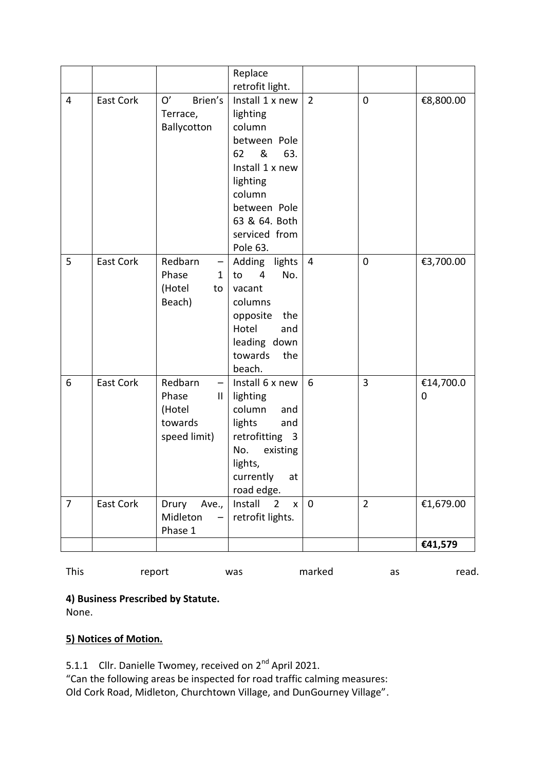|                |                  |                                                                 | Replace<br>retrofit light.                                                                                                                                                     |                |                |                |
|----------------|------------------|-----------------------------------------------------------------|--------------------------------------------------------------------------------------------------------------------------------------------------------------------------------|----------------|----------------|----------------|
| 4              | <b>East Cork</b> | O'<br>Brien's<br>Terrace,<br>Ballycotton                        | Install 1 x new<br>lighting<br>column<br>between Pole<br>&<br>63.<br>62<br>Install 1 x new<br>lighting<br>column<br>between Pole<br>63 & 64. Both<br>serviced from<br>Pole 63. | $\overline{2}$ | $\mathbf 0$    | €8,800.00      |
| 5              | East Cork        | Redbarn<br>—<br>Phase<br>$\mathbf{1}$<br>(Hotel<br>to<br>Beach) | Adding lights<br>No.<br>to<br>$\overline{4}$<br>vacant<br>columns<br>opposite<br>the<br>Hotel<br>and<br>leading down<br>towards<br>the<br>beach.                               | $\overline{4}$ | $\mathbf 0$    | €3,700.00      |
| 6              | <b>East Cork</b> | Redbarn<br>-<br>Phase<br>Ш<br>(Hotel<br>towards<br>speed limit) | Install 6 x new<br>lighting<br>column<br>and<br>lights<br>and<br>retrofitting 3<br>No.<br>existing<br>lights,<br>currently<br>at<br>road edge.                                 | 6              | $\overline{3}$ | €14,700.0<br>0 |
| $\overline{7}$ | East Cork        | Drury<br>Ave.,<br>Midleton<br>Phase 1                           | Install<br>$\overline{2}$<br>$\mathsf{x}$<br>retrofit lights.                                                                                                                  | $\mathbf 0$    | $\overline{2}$ | €1,679.00      |
|                |                  |                                                                 |                                                                                                                                                                                |                |                | €41,579        |

| <b>This</b> | report | was | marked | as | read. |
|-------------|--------|-----|--------|----|-------|
|-------------|--------|-----|--------|----|-------|

**4) Business Prescribed by Statute.** 

None.

# **5) Notices of Motion.**

5.1.1 Cllr. Danielle Twomey, received on 2<sup>nd</sup> April 2021.

"Can the following areas be inspected for road traffic calming measures: Old Cork Road, Midleton, Churchtown Village, and DunGourney Village".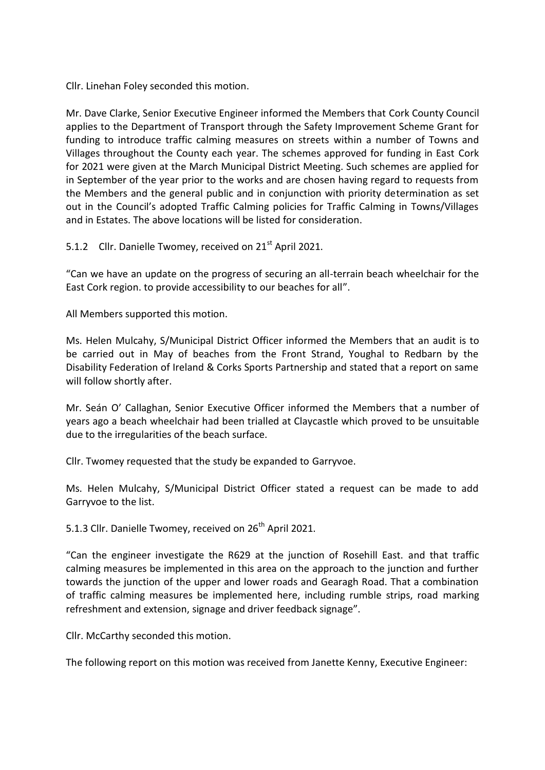Cllr. Linehan Foley seconded this motion.

Mr. Dave Clarke, Senior Executive Engineer informed the Members that Cork County Council applies to the Department of Transport through the Safety Improvement Scheme Grant for funding to introduce traffic calming measures on streets within a number of Towns and Villages throughout the County each year. The schemes approved for funding in East Cork for 2021 were given at the March Municipal District Meeting. Such schemes are applied for in September of the year prior to the works and are chosen having regard to requests from the Members and the general public and in conjunction with priority determination as set out in the Council's adopted Traffic Calming policies for Traffic Calming in Towns/Villages and in Estates. The above locations will be listed for consideration.

5.1.2 Cllr. Danielle Twomey, received on 21<sup>st</sup> April 2021.

"Can we have an update on the progress of securing an all-terrain beach wheelchair for the East Cork region. to provide accessibility to our beaches for all".

All Members supported this motion.

Ms. Helen Mulcahy, S/Municipal District Officer informed the Members that an audit is to be carried out in May of beaches from the Front Strand, Youghal to Redbarn by the Disability Federation of Ireland & Corks Sports Partnership and stated that a report on same will follow shortly after.

Mr. Seán O' Callaghan, Senior Executive Officer informed the Members that a number of years ago a beach wheelchair had been trialled at Claycastle which proved to be unsuitable due to the irregularities of the beach surface.

Cllr. Twomey requested that the study be expanded to Garryvoe.

Ms. Helen Mulcahy, S/Municipal District Officer stated a request can be made to add Garryvoe to the list.

5.1.3 Cllr. Danielle Twomey, received on 26<sup>th</sup> April 2021.

"Can the engineer investigate the R629 at the junction of Rosehill East. and that traffic calming measures be implemented in this area on the approach to the junction and further towards the junction of the upper and lower roads and Gearagh Road. That a combination of traffic calming measures be implemented here, including rumble strips, road marking refreshment and extension, signage and driver feedback signage".

Cllr. McCarthy seconded this motion.

The following report on this motion was received from Janette Kenny, Executive Engineer: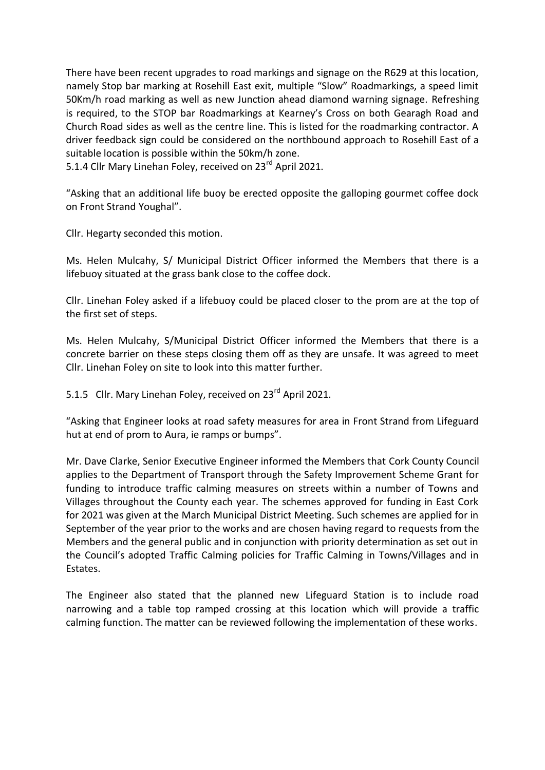There have been recent upgrades to road markings and signage on the R629 at this location, namely Stop bar marking at Rosehill East exit, multiple "Slow" Roadmarkings, a speed limit 50Km/h road marking as well as new Junction ahead diamond warning signage. Refreshing is required, to the STOP bar Roadmarkings at Kearney's Cross on both Gearagh Road and Church Road sides as well as the centre line. This is listed for the roadmarking contractor. A driver feedback sign could be considered on the northbound approach to Rosehill East of a suitable location is possible within the 50km/h zone.

5.1.4 Cllr Mary Linehan Foley, received on 23<sup>rd</sup> April 2021.

"Asking that an additional life buoy be erected opposite the galloping gourmet coffee dock on Front Strand Youghal".

Cllr. Hegarty seconded this motion.

Ms. Helen Mulcahy, S/ Municipal District Officer informed the Members that there is a lifebuoy situated at the grass bank close to the coffee dock.

Cllr. Linehan Foley asked if a lifebuoy could be placed closer to the prom are at the top of the first set of steps.

Ms. Helen Mulcahy, S/Municipal District Officer informed the Members that there is a concrete barrier on these steps closing them off as they are unsafe. It was agreed to meet Cllr. Linehan Foley on site to look into this matter further.

5.1.5 Cllr. Mary Linehan Foley, received on 23<sup>rd</sup> April 2021.

"Asking that Engineer looks at road safety measures for area in Front Strand from Lifeguard hut at end of prom to Aura, ie ramps or bumps".

Mr. Dave Clarke, Senior Executive Engineer informed the Members that Cork County Council applies to the Department of Transport through the Safety Improvement Scheme Grant for funding to introduce traffic calming measures on streets within a number of Towns and Villages throughout the County each year. The schemes approved for funding in East Cork for 2021 was given at the March Municipal District Meeting. Such schemes are applied for in September of the year prior to the works and are chosen having regard to requests from the Members and the general public and in conjunction with priority determination as set out in the Council's adopted Traffic Calming policies for Traffic Calming in Towns/Villages and in Estates.

The Engineer also stated that the planned new Lifeguard Station is to include road narrowing and a table top ramped crossing at this location which will provide a traffic calming function. The matter can be reviewed following the implementation of these works.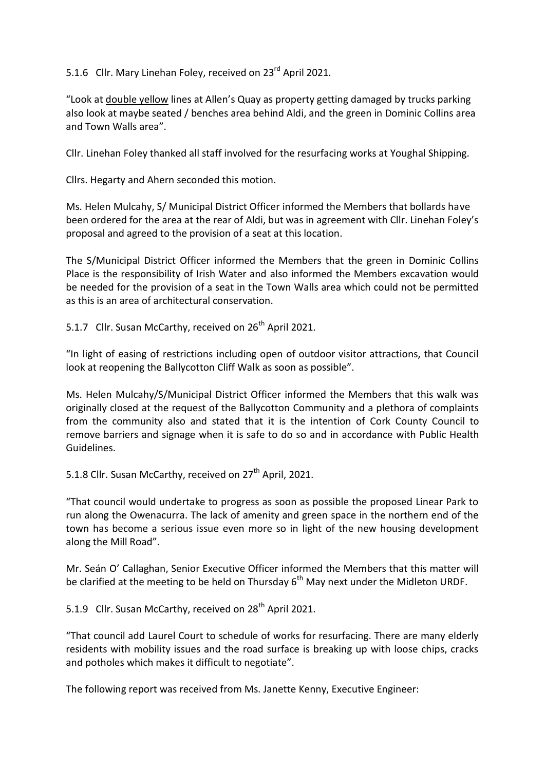5.1.6 Cllr. Mary Linehan Foley, received on 23<sup>rd</sup> April 2021.

"Look at double yellow lines at Allen's Quay as property getting damaged by trucks parking also look at maybe seated / benches area behind Aldi, and the green in Dominic Collins area and Town Walls area".

Cllr. Linehan Foley thanked all staff involved for the resurfacing works at Youghal Shipping.

Cllrs. Hegarty and Ahern seconded this motion.

Ms. Helen Mulcahy, S/ Municipal District Officer informed the Members that bollards have been ordered for the area at the rear of Aldi, but was in agreement with Cllr. Linehan Foley's proposal and agreed to the provision of a seat at this location.

The S/Municipal District Officer informed the Members that the green in Dominic Collins Place is the responsibility of Irish Water and also informed the Members excavation would be needed for the provision of a seat in the Town Walls area which could not be permitted as this is an area of architectural conservation.

5.1.7 Cllr. Susan McCarthy, received on 26<sup>th</sup> April 2021.

"In light of easing of restrictions including open of outdoor visitor attractions, that Council look at reopening the Ballycotton Cliff Walk as soon as possible".

Ms. Helen Mulcahy/S/Municipal District Officer informed the Members that this walk was originally closed at the request of the Ballycotton Community and a plethora of complaints from the community also and stated that it is the intention of Cork County Council to remove barriers and signage when it is safe to do so and in accordance with Public Health Guidelines.

5.1.8 Cllr. Susan McCarthy, received on 27<sup>th</sup> April, 2021.

"That council would undertake to progress as soon as possible the proposed Linear Park to run along the Owenacurra. The lack of amenity and green space in the northern end of the town has become a serious issue even more so in light of the new housing development along the Mill Road".

Mr. Seán O' Callaghan, Senior Executive Officer informed the Members that this matter will be clarified at the meeting to be held on Thursday  $6<sup>th</sup>$  May next under the Midleton URDF.

5.1.9 Cllr. Susan McCarthy, received on 28<sup>th</sup> April 2021.

"That council add Laurel Court to schedule of works for resurfacing. There are many elderly residents with mobility issues and the road surface is breaking up with loose chips, cracks and potholes which makes it difficult to negotiate".

The following report was received from Ms. Janette Kenny, Executive Engineer: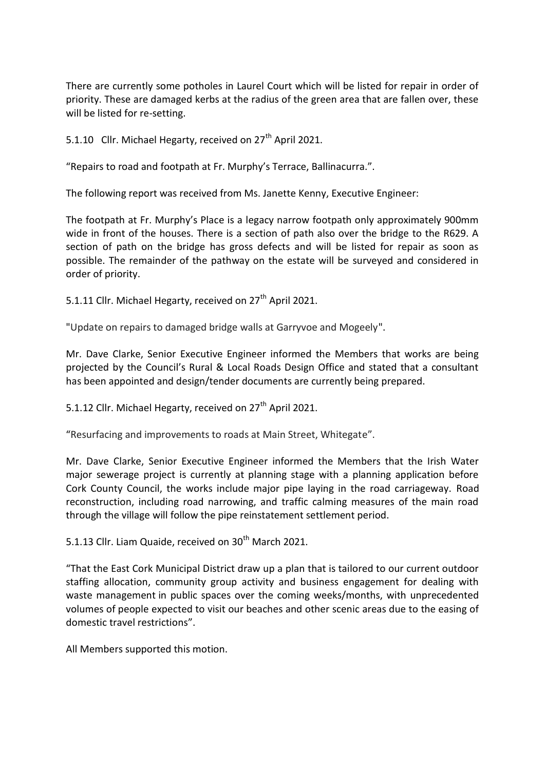There are currently some potholes in Laurel Court which will be listed for repair in order of priority. These are damaged kerbs at the radius of the green area that are fallen over, these will be listed for re-setting.

5.1.10 Cllr. Michael Hegarty, received on  $27<sup>th</sup>$  April 2021.

"Repairs to road and footpath at Fr. Murphy's Terrace, Ballinacurra.".

The following report was received from Ms. Janette Kenny, Executive Engineer:

The footpath at Fr. Murphy's Place is a legacy narrow footpath only approximately 900mm wide in front of the houses. There is a section of path also over the bridge to the R629. A section of path on the bridge has gross defects and will be listed for repair as soon as possible. The remainder of the pathway on the estate will be surveyed and considered in order of priority.

5.1.11 Cllr. Michael Hegarty, received on 27<sup>th</sup> April 2021.

"Update on repairs to damaged bridge walls at Garryvoe and Mogeely".

Mr. Dave Clarke, Senior Executive Engineer informed the Members that works are being projected by the Council's Rural & Local Roads Design Office and stated that a consultant has been appointed and design/tender documents are currently being prepared.

5.1.12 Cllr. Michael Hegarty, received on 27<sup>th</sup> April 2021.

"Resurfacing and improvements to roads at Main Street, Whitegate".

Mr. Dave Clarke, Senior Executive Engineer informed the Members that the Irish Water major sewerage project is currently at planning stage with a planning application before Cork County Council, the works include major pipe laying in the road carriageway. Road reconstruction, including road narrowing, and traffic calming measures of the main road through the village will follow the pipe reinstatement settlement period.

5.1.13 Cllr. Liam Quaide, received on 30<sup>th</sup> March 2021.

"That the East Cork Municipal District draw up a plan that is tailored to our current outdoor staffing allocation, community group activity and business engagement for dealing with waste management in public spaces over the coming weeks/months, with unprecedented volumes of people expected to visit our beaches and other scenic areas due to the easing of domestic travel restrictions".

All Members supported this motion.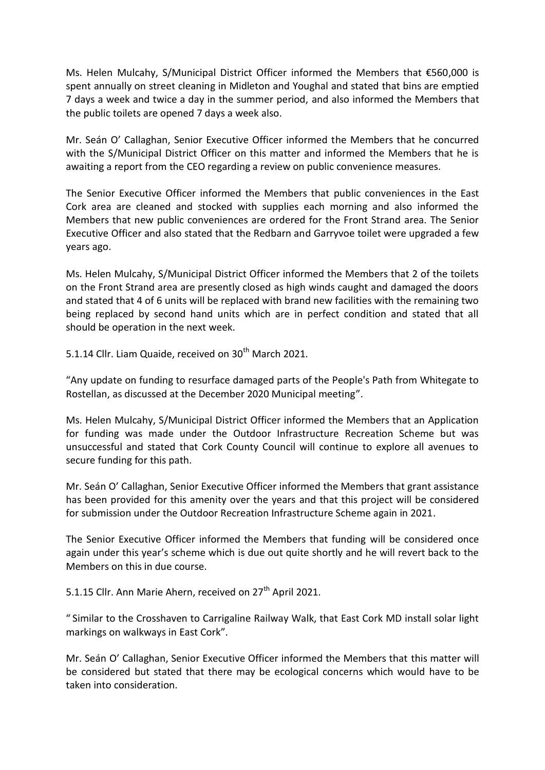Ms. Helen Mulcahy, S/Municipal District Officer informed the Members that €560,000 is spent annually on street cleaning in Midleton and Youghal and stated that bins are emptied 7 days a week and twice a day in the summer period, and also informed the Members that the public toilets are opened 7 days a week also.

Mr. Seán O' Callaghan, Senior Executive Officer informed the Members that he concurred with the S/Municipal District Officer on this matter and informed the Members that he is awaiting a report from the CEO regarding a review on public convenience measures.

The Senior Executive Officer informed the Members that public conveniences in the East Cork area are cleaned and stocked with supplies each morning and also informed the Members that new public conveniences are ordered for the Front Strand area. The Senior Executive Officer and also stated that the Redbarn and Garryvoe toilet were upgraded a few years ago.

Ms. Helen Mulcahy, S/Municipal District Officer informed the Members that 2 of the toilets on the Front Strand area are presently closed as high winds caught and damaged the doors and stated that 4 of 6 units will be replaced with brand new facilities with the remaining two being replaced by second hand units which are in perfect condition and stated that all should be operation in the next week.

5.1.14 Cllr. Liam Quaide, received on 30<sup>th</sup> March 2021.

"Any update on funding to resurface damaged parts of the People's Path from Whitegate to Rostellan, as discussed at the December 2020 Municipal meeting".

Ms. Helen Mulcahy, S/Municipal District Officer informed the Members that an Application for funding was made under the Outdoor Infrastructure Recreation Scheme but was unsuccessful and stated that Cork County Council will continue to explore all avenues to secure funding for this path.

Mr. Seán O' Callaghan, Senior Executive Officer informed the Members that grant assistance has been provided for this amenity over the years and that this project will be considered for submission under the Outdoor Recreation Infrastructure Scheme again in 2021.

The Senior Executive Officer informed the Members that funding will be considered once again under this year's scheme which is due out quite shortly and he will revert back to the Members on this in due course.

5.1.15 Cllr. Ann Marie Ahern, received on 27<sup>th</sup> April 2021.

" Similar to the Crosshaven to Carrigaline Railway Walk, that East Cork MD install solar light markings on walkways in East Cork".

Mr. Seán O' Callaghan, Senior Executive Officer informed the Members that this matter will be considered but stated that there may be ecological concerns which would have to be taken into consideration.